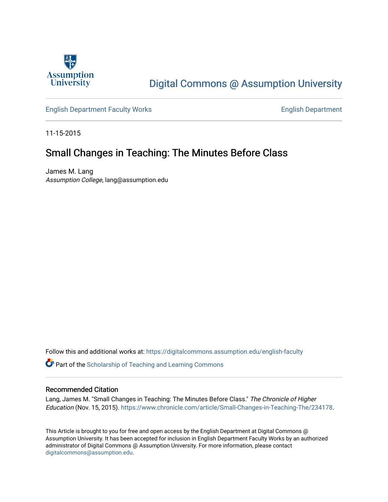

# [Digital Commons @ Assumption University](https://digitalcommons.assumption.edu/)

[English Department Faculty Works](https://digitalcommons.assumption.edu/english-faculty) **English Department** 

11-15-2015

## Small Changes in Teaching: The Minutes Before Class

James M. Lang Assumption College, lang@assumption.edu

Follow this and additional works at: [https://digitalcommons.assumption.edu/english-faculty](https://digitalcommons.assumption.edu/english-faculty?utm_source=digitalcommons.assumption.edu%2Fenglish-faculty%2F42&utm_medium=PDF&utm_campaign=PDFCoverPages) 

**P** Part of the Scholarship of Teaching and Learning Commons

#### Recommended Citation

Lang, James M. "Small Changes in Teaching: The Minutes Before Class." The Chronicle of Higher Education (Nov. 15, 2015).<https://www.chronicle.com/article/Small-Changes-in-Teaching-The/234178>.

This Article is brought to you for free and open access by the English Department at Digital Commons @ Assumption University. It has been accepted for inclusion in English Department Faculty Works by an authorized administrator of Digital Commons @ Assumption University. For more information, please contact [digitalcommons@assumption.edu](mailto:digitalcommons@assumption.edu).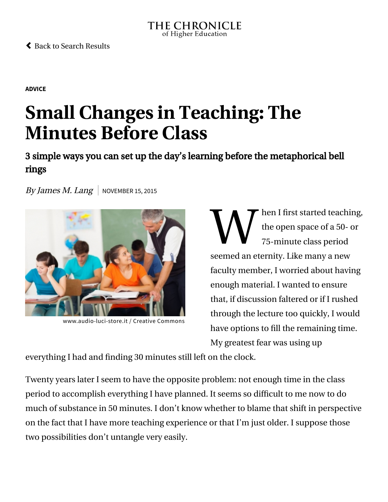#### THE CHRONICLE of Higher Education

 [Back to Search Results](https://www.chronicle.com/search?page=3&q=james+m+lang)

**[ADVICE](https://www.chronicle.com/section/Advice/66)**

# **Small Changes in Teaching: The Minutes Before Class**

3 simple ways you can set up the day's learning before the metaphorical bell rings

By James M. Lang | NOVEMBER 15, 2015



[www.audio-luci-store.it](https://creativecommons.org/licenses/by/2.0/) / Creative Commons

 $\mathbf{W}^\text{\tiny{her}}_{\scriptscriptstyle{75}}$ hen I first started teaching, the open space of a 50- or 75-minute class period seemed an eternity. Like many a new faculty member, I worried about having enough material. I wanted to ensure that, if discussion faltered or if I rushed through the lecture too quickly, I would have options to fill the remaining time. My greatest fear was using up

everything I had and finding 30 minutes still left on the clock.

Twenty years later I seem to have the opposite problem: not enough time in the class period to accomplish everything I have planned. It seems so difficult to me now to do much of substance in 50 minutes. I don't know whether to blame that shift in perspective on the fact that I have more teaching experience or that I'm just older. I suppose those two possibilities don't untangle very easily.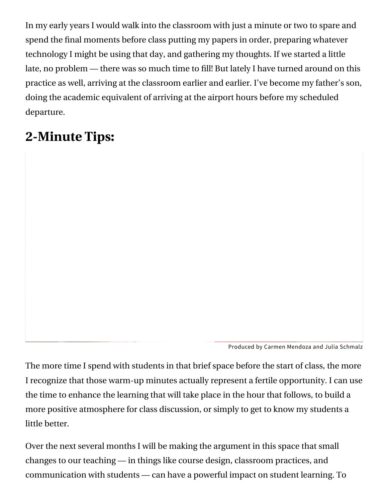In my early years I would walk into the classroom with just a minute or two to spare and spend the final moments before class putting my papers in order, preparing whatever technology I might be using that day, and gathering my thoughts. If we started a little late, no problem — there was so much time to fill! But lately I have turned around on this practice as well, arriving at the classroom earlier and earlier. I've become my father's son, doing the academic equivalent of arriving at the airport hours before my scheduled departure.

# **2-Minute Tips:**

Produced by Carmen Mendoza and Julia Schmalz

The more time I spend with students in that brief space before the start of class, the more I recognize that those warm-up minutes actually represent a fertile opportunity. I can use the time to enhance the learning that will take place in the hour that follows, to build a more positive atmosphere for class discussion, or simply to get to know my students a little better.

Over the next several months I will be making the argument in this space that small changes to our teaching — in things like course design, classroom practices, and communication with students — can have a powerful impact on student learning. To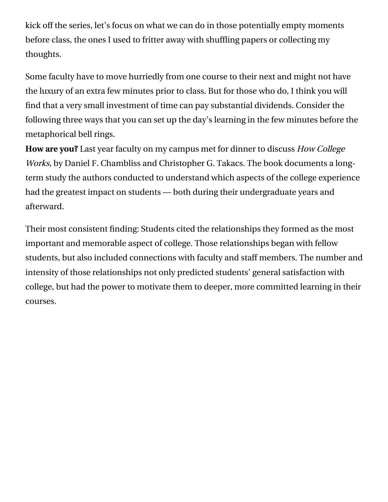kick off the series, let's focus on what we can do in those potentially empty moments before class, the ones I used to fritter away with shuffling papers or collecting my thoughts.

Some faculty have to move hurriedly from one course to their next and might not have the luxury of an extra few minutes prior to class. But for those who do, I think you will find that a very small investment of time can pay substantial dividends. Consider the following three ways that you can set up the day's learning in the few minutes before the metaphorical bell rings.

**How are you?** Last year faculty on my campus met for dinner to discuss How College Works, [by Daniel F. Chambliss and Christopher G. Takacs. The book documents a lon](http://www.hup.harvard.edu/catalog.php?isbn=9780674049024)gterm study the authors conducted to understand which aspects of the college experience had the greatest impact on students — both during their undergraduate years and afterward.

Their most consistent finding: Students cited the relationships they formed as the most important and memorable aspect of college. Those relationships began with fellow students, but also included connections with faculty and staff members. The number and intensity of those relationships not only predicted students' general satisfaction with college, but had the power to motivate them to deeper, more committed learning in their courses.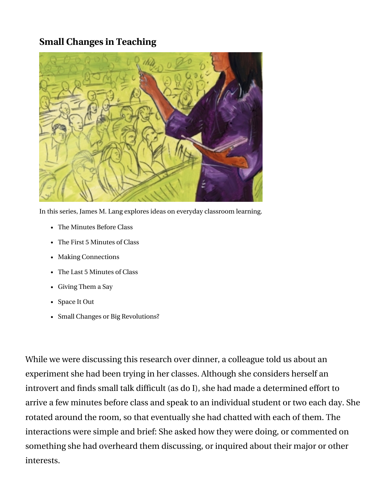## **Small Changes in Teaching**



In this series, James M. Lang explores ideas on everyday classroom learning.

- [The Minutes Before Class](https://www.chronicle.com/article/Small-Changes-in-Teaching-The/234178/)
- [The First 5 Minutes of Class](https://www.chronicle.com/article/Small-Changes-in-Teaching-The/234869/)
- [Making Connections](https://www.chronicle.com/article/Small-Changes-in-Teaching-/235230/)
- [The Last 5 Minutes of Class](https://www.chronicle.com/article/Small-Changes-in-Teaching-The/235583/)
- [Giving Them a Say](https://www.chronicle.com/article/Small-Changes-in-Teaching-/235918/)
- [Space It Out](https://www.chronicle.com/article/Small-Changes-in-Teaching-/236479/)
- [Small Changes or Big Revolutions?](https://www.chronicle.com/article/Small-Changes-or-Big/236839/)

While we were discussing this research over dinner, a colleague told us about an experiment she had been trying in her classes. Although she considers herself an introvert and finds small talk difficult (as do I), she had made a determined effort to arrive a few minutes before class and speak to an individual student or two each day. She rotated around the room, so that eventually she had chatted with each of them. The interactions were simple and brief: She asked how they were doing, or commented on something she had overheard them discussing, or inquired about their major or other interests.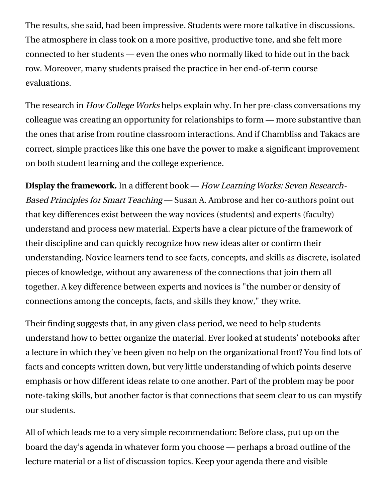The results, she said, had been impressive. Students were more talkative in discussions. The atmosphere in class took on a more positive, productive tone, and she felt more connected to her students — even the ones who normally liked to hide out in the back row. Moreover, many students praised the practice in her end-of-term course evaluations.

The research in How College Works helps explain why. In her pre-class conversations my colleague was creating an opportunity for relationships to form — more substantive than the ones that arise from routine classroom interactions. And if Chambliss and Takacs are correct, simple practices like this one have the power to make a significant improvement on both student learning and the college experience.

**Display the framework.** In a different book — How Learning Works: Seven Research-Based Principles for Smart Teaching [— Susan A. Ambrose and her co-authors point ou](http://www.wiley.com/WileyCDA/WileyTitle/productCd-0470484101.html)t that key differences exist between the way novices (students) and experts (faculty) understand and process new material. Experts have a clear picture of the framework of their discipline and can quickly recognize how new ideas alter or confirm their understanding. Novice learners tend to see facts, concepts, and skills as discrete, isolated pieces of knowledge, without any awareness of the connections that join them all together. A key difference between experts and novices is "the number or density of connections among the concepts, facts, and skills they know," they write.

Their finding suggests that, in any given class period, we need to help students understand how to better organize the material. Ever looked at students' notebooks after a lecture in which they've been given no help on the organizational front? You find lots of facts and concepts written down, but very little understanding of which points deserve emphasis or how different ideas relate to one another. Part of the problem may be poor note-taking skills, but another factor is that connections that seem clear to us can mystify our students.

All of which leads me to a very simple recommendation: Before class, put up on the board the day's agenda in whatever form you choose — perhaps a broad outline of the lecture material or a list of discussion topics. Keep your agenda there and visible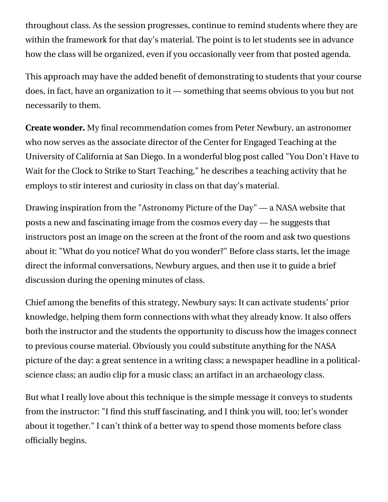throughout class. As the session progresses, continue to remind students where they are within the framework for that day's material. The point is to let students see in advance how the class will be organized, even if you occasionally veer from that posted agenda.

This approach may have the added benefit of demonstrating to students that your course does, in fact, have an organization to it — something that seems obvious to you but not necessarily to them.

**Create wonder.** My final recommendation comes from Peter Newbury, an astronomer who now serves as the associate director of the [Center for Engaged Teaching](https://ctd.ucsd.edu/) at the [University of California at San Diego. In a wonderful blog post called "You Don't Have to](https://ctd.ucsd.edu/2013/08/you-dont-have-to-wait-for-the-clock-to-strike-to-start-teaching/) Wait for the Clock to Strike to Start Teaching," he describes a teaching activity that he employs to stir interest and curiosity in class on that day's material.

Drawing inspiration from the ["Astronomy Picture of the Day"](http://apod.nasa.gov/apod/astropix.html) — a NASA website that posts a new and fascinating image from the cosmos every day — he suggests that instructors post an image on the screen at the front of the room and ask two questions about it: "What do you notice? What do you wonder?" Before class starts, let the image direct the informal conversations, Newbury argues, and then use it to guide a brief discussion during the opening minutes of class.

Chief among the benefits of this strategy, Newbury says: It can activate students' prior knowledge, helping them form connections with what they already know. It also offers both the instructor and the students the opportunity to discuss how the images connect to previous course material. Obviously you could substitute anything for the NASA picture of the day: a great sentence in a writing class; a newspaper headline in a politicalscience class; an audio clip for a music class; an artifact in an archaeology class.

But what I really love about this technique is the simple message it conveys to students from the instructor: "I find this stuff fascinating, and I think you will, too; let's wonder about it together." I can't think of a better way to spend those moments before class officially begins.